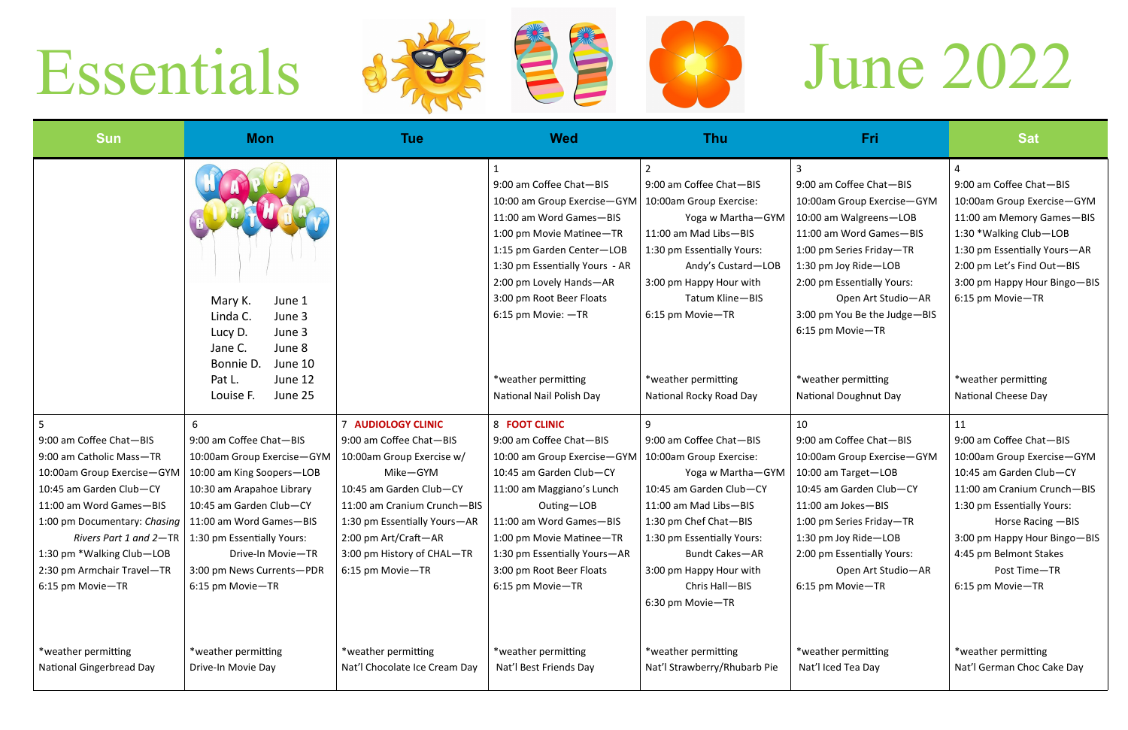## Essentials Sancter Entre 1989 June 2022









| Fri                                                                                                                                                                                                                                                                         | Sat                                                                                                                                                                                                                                 |
|-----------------------------------------------------------------------------------------------------------------------------------------------------------------------------------------------------------------------------------------------------------------------------|-------------------------------------------------------------------------------------------------------------------------------------------------------------------------------------------------------------------------------------|
| 3<br>9:00 am Coffee Chat-BIS<br>10:00am Group Exercise-GYM<br>10:00 am Walgreens-LOB<br>11:00 am Word Games-BIS<br>1:00 pm Series Friday-TR<br>1:30 pm Joy Ride-LOB<br>2:00 pm Essentially Yours:<br>Open Art Studio-AR<br>3:00 pm You Be the Judge-BIS<br>6:15 pm Movie-TR | 4<br>9:00 am Coffee Chat-BIS<br>10:00am Group Exercise-GYM<br>11:00 am Memory Games-BIS<br>1:30 *Walking Club-LOB<br>1:30 pm Essentially Yours-AR<br>2:00 pm Let's Find Out-BIS<br>3:00 pm Happy Hour Bingo-BIS<br>6:15 pm Movie-TR |
| *weather permitting                                                                                                                                                                                                                                                         | *weather permitting                                                                                                                                                                                                                 |
| <b>National Doughnut Day</b>                                                                                                                                                                                                                                                | National Cheese Day                                                                                                                                                                                                                 |
| 10                                                                                                                                                                                                                                                                          | 11                                                                                                                                                                                                                                  |
| 9:00 am Coffee Chat-BIS                                                                                                                                                                                                                                                     | 9:00 am Coffee Chat-BIS                                                                                                                                                                                                             |
| 10:00am Group Exercise-GYM                                                                                                                                                                                                                                                  | 10:00am Group Exercise-GYM                                                                                                                                                                                                          |
| 10:00 am Target-LOB                                                                                                                                                                                                                                                         | 10:45 am Garden Club-CY                                                                                                                                                                                                             |
| 10:45 am Garden Club-CY                                                                                                                                                                                                                                                     | 11:00 am Cranium Crunch-BIS                                                                                                                                                                                                         |
| 11:00 am Jokes-BIS                                                                                                                                                                                                                                                          | 1:30 pm Essentially Yours:                                                                                                                                                                                                          |
| 1:00 pm Series Friday—TR                                                                                                                                                                                                                                                    | Horse Racing - BIS                                                                                                                                                                                                                  |
| 1:30 pm Joy Ride—LOB                                                                                                                                                                                                                                                        | 3:00 pm Happy Hour Bingo—BIS                                                                                                                                                                                                        |
| 2:00 pm Essentially Yours:                                                                                                                                                                                                                                                  | 4:45 pm Belmont Stakes                                                                                                                                                                                                              |
| Open Art Studio-AR                                                                                                                                                                                                                                                          | Post Time-TR                                                                                                                                                                                                                        |
| 6:15 pm Movie-TR                                                                                                                                                                                                                                                            | 6:15 pm Movie-TR                                                                                                                                                                                                                    |
| *weather permitting                                                                                                                                                                                                                                                         | *weather permitting                                                                                                                                                                                                                 |
| Nat'l Iced Tea Day                                                                                                                                                                                                                                                          | Nat'l German Choc Cake Day                                                                                                                                                                                                          |